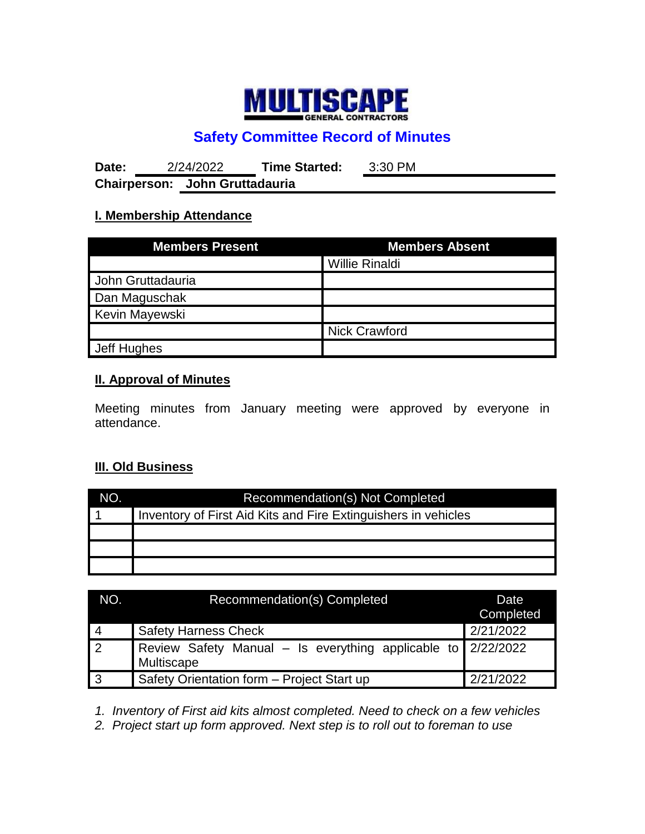

# **Safety Committee Record of Minutes**

**Date:** 2/24/2022 **Time Started:** 3:30 PM **Chairperson: John Gruttadauria**

## **I. Membership Attendance**

| <b>Members Present</b> | <b>Members Absent</b> |  |
|------------------------|-----------------------|--|
|                        | <b>Willie Rinaldi</b> |  |
| John Gruttadauria      |                       |  |
| Dan Maguschak          |                       |  |
| Kevin Mayewski         |                       |  |
|                        | <b>Nick Crawford</b>  |  |
| Jeff Hughes            |                       |  |

## **II. Approval of Minutes**

Meeting minutes from January meeting were approved by everyone in attendance.

#### **III. Old Business**

| NO. | Recommendation(s) Not Completed                                |  |  |
|-----|----------------------------------------------------------------|--|--|
|     | Inventory of First Aid Kits and Fire Extinguishers in vehicles |  |  |
|     |                                                                |  |  |
|     |                                                                |  |  |
|     |                                                                |  |  |

| NO.        | Recommendation(s) Completed                                                  | Date<br>Completed |
|------------|------------------------------------------------------------------------------|-------------------|
| $\vert$ 4  | <b>Safety Harness Check</b>                                                  | 2/21/2022         |
| $\sqrt{2}$ | Review Safety Manual – Is everything applicable to $2/22/2022$<br>Multiscape |                   |
| l 3        | Safety Orientation form - Project Start up                                   | 2/21/2022         |

*1. Inventory of First aid kits almost completed. Need to check on a few vehicles*

*2. Project start up form approved. Next step is to roll out to foreman to use*